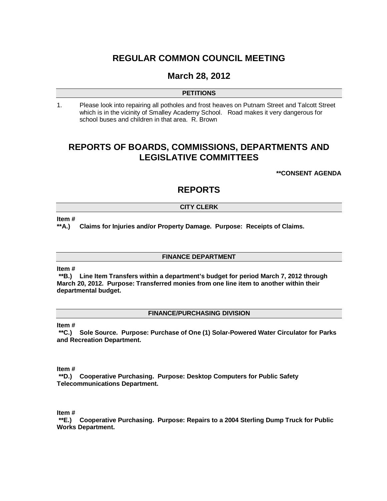# **REGULAR COMMON COUNCIL MEETING**

# **March 28, 2012**

## **PETITIONS**

1. Please look into repairing all potholes and frost heaves on Putnam Street and Talcott Street which is in the vicinity of Smalley Academy School. Road makes it very dangerous for school buses and children in that area. R. Brown

# **REPORTS OF BOARDS, COMMISSIONS, DEPARTMENTS AND LEGISLATIVE COMMITTEES**

**\*\*CONSENT AGENDA**

# **REPORTS**

## **CITY CLERK**

**Item #**

**\*\*A.) Claims for Injuries and/or Property Damage. Purpose: Receipts of Claims.**

### **FINANCE DEPARTMENT**

**Item #**

**\*\*B.) Line Item Transfers within a department's budget for period March 7, 2012 through March 20, 2012. Purpose: Transferred monies from one line item to another within their departmental budget.** 

### **FINANCE/PURCHASING DIVISION**

**Item #**

**\*\*C.) Sole Source. Purpose: Purchase of One (1) Solar-Powered Water Circulator for Parks and Recreation Department.**

**Item #**

**\*\*D.) Cooperative Purchasing. Purpose: Desktop Computers for Public Safety Telecommunications Department.**

**Item #**

**\*\*E.) Cooperative Purchasing. Purpose: Repairs to a 2004 Sterling Dump Truck for Public Works Department.**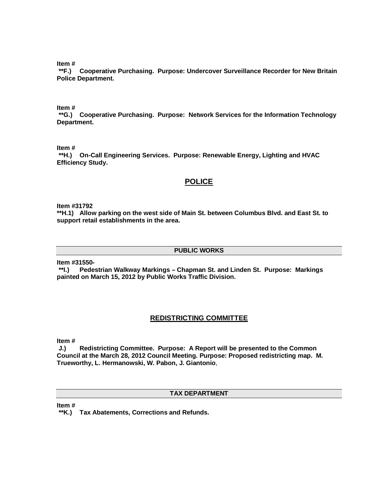**Item #**

**\*\*F.) Cooperative Purchasing. Purpose: Undercover Surveillance Recorder for New Britain Police Department.**

**Item #**

**\*\*G.) Cooperative Purchasing. Purpose: Network Services for the Information Technology Department.**

**Item #**

**\*\*H.) On-Call Engineering Services. Purpose: Renewable Energy, Lighting and HVAC Efficiency Study.** 

## **POLICE**

**Item #31792**

**\*\*H.1) Allow parking on the west side of Main St. between Columbus Blvd. and East St. to support retail establishments in the area.** 

#### **PUBLIC WORKS**

**Item #31550-**

**\*\*I.) Pedestrian Walkway Markings – Chapman St. and Linden St. Purpose: Markings painted on March 15, 2012 by Public Works Traffic Division.** 

# **REDISTRICTING COMMITTEE**

**Item #**

**J.) Redistricting Committee. Purpose: A Report will be presented to the Common Council at the March 28, 2012 Council Meeting. Purpose: Proposed redistricting map. M. Trueworthy, L. Hermanowski, W. Pabon, J. Giantonio**,

## **TAX DEPARTMENT**

**Item #**

**\*\*K.) Tax Abatements, Corrections and Refunds.**